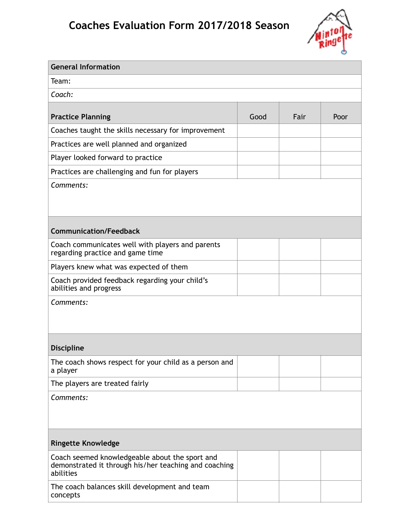## **Coaches Evaluation Form 2017/2018 Season**



| <b>General Information</b>                                                                                           |      |      |      |
|----------------------------------------------------------------------------------------------------------------------|------|------|------|
| Team:                                                                                                                |      |      |      |
| Coach:                                                                                                               |      |      |      |
| <b>Practice Planning</b>                                                                                             | Good | Fair | Poor |
| Coaches taught the skills necessary for improvement                                                                  |      |      |      |
| Practices are well planned and organized                                                                             |      |      |      |
| Player looked forward to practice                                                                                    |      |      |      |
| Practices are challenging and fun for players                                                                        |      |      |      |
| Comments:                                                                                                            |      |      |      |
|                                                                                                                      |      |      |      |
|                                                                                                                      |      |      |      |
| <b>Communication/Feedback</b>                                                                                        |      |      |      |
| Coach communicates well with players and parents<br>regarding practice and game time                                 |      |      |      |
| Players knew what was expected of them                                                                               |      |      |      |
| Coach provided feedback regarding your child's<br>abilities and progress                                             |      |      |      |
| Comments:                                                                                                            |      |      |      |
|                                                                                                                      |      |      |      |
|                                                                                                                      |      |      |      |
| <b>Discipline</b>                                                                                                    |      |      |      |
| The coach shows respect for your child as a person and<br>a player                                                   |      |      |      |
| The players are treated fairly                                                                                       |      |      |      |
| Comments:                                                                                                            |      |      |      |
|                                                                                                                      |      |      |      |
|                                                                                                                      |      |      |      |
| <b>Ringette Knowledge</b>                                                                                            |      |      |      |
| Coach seemed knowledgeable about the sport and<br>demonstrated it through his/her teaching and coaching<br>abilities |      |      |      |
| The coach balances skill development and team<br>concepts                                                            |      |      |      |